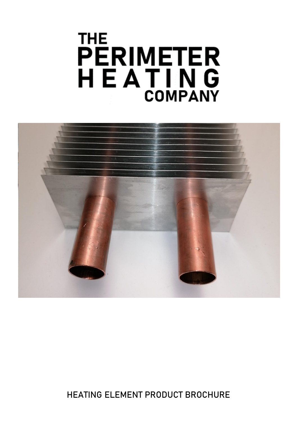# **THE** PERIMETER<br>H E A T I N G<br>COMPANY



**HEATING ELEMENT PRODUCT BROCHURE**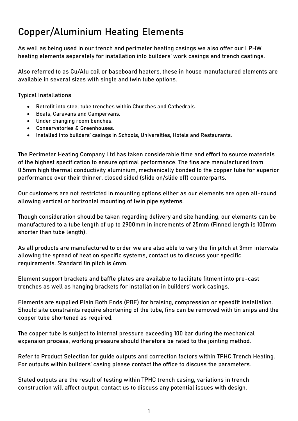# **Copper/Aluminium Heating Elements**

As well as being used in our trench and perimeter heating casings we also offer our LPHW heating elements separately for installation into builders' work casings and trench castings.

Also referred to as Cu/Alu coil or baseboard heaters, these in house manufactured elements are available in several sizes with single and twin tube options.

**Typical Installations**

- Retrofit into steel tube trenches within Churches and Cathedrals.
- Boats, Caravans and Campervans.
- Under changing room benches.
- Conservatories & Greenhouses.
- Installed into builders' casings in Schools, Universities, Hotels and Restaurants.

The Perimeter Heating Company Ltd has taken considerable time and effort to source materials of the highest specification to ensure optimal performance. The fins are manufactured from 0.5mm high thermal conductivity aluminium, mechanically bonded to the copper tube for superior performance over their thinner, closed sided (slide on/slide off) counterparts.

Our customers are not restricted in mounting options either as our elements are open all-round allowing vertical or horizontal mounting of twin pipe systems.

Though consideration should be taken regarding delivery and site handling, our elements can be manufactured to a tube length of up to 2900mm in increments of 25mm (Finned length is 100mm shorter than tube length).

As all products are manufactured to order we are also able to vary the fin pitch at 3mm intervals allowing the spread of heat on specific systems, contact us to discuss your specific requirements. Standard fin pitch is 6mm.

Element support brackets and baffle plates are available to facilitate fitment into pre-cast trenches as well as hanging brackets for installation in builders' work casings.

Elements are supplied Plain Both Ends (PBE) for braising, compression or speedfit installation. Should site constraints require shortening of the tube, fins can be removed with tin snips and the copper tube shortened as required.

The copper tube is subject to internal pressure exceeding 100 bar during the mechanical expansion process, working pressure should therefore be rated to the jointing method.

Refer to Product Selection for guide outputs and correction factors within TPHC Trench Heating. For outputs within builders' casing please contact the office to discuss the parameters.

Stated outputs are the result of testing within TPHC trench casing, variations in trench construction will affect output, contact us to discuss any potential issues with design.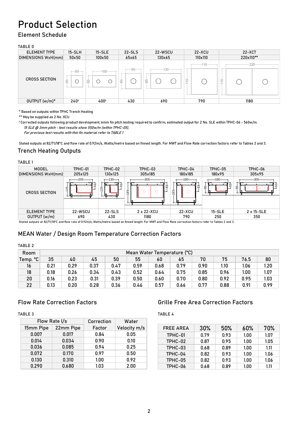# **Product Selection**

#### Element Schedule

#### TABLE 0

| <b>ELEMENT TYPE</b>  | $15-SLH$                         | $15-SLE$          | $22-SLS$    | 22-WSCU       | $22-XCU$                                        | $22 - XCT$    |  |  |
|----------------------|----------------------------------|-------------------|-------------|---------------|-------------------------------------------------|---------------|--|--|
| DIMENSIONS WxH(mm)   | $50\times50$                     | 100x50            | 65x65       | 130x65        | 110×110                                         | 220x110**     |  |  |
| <b>CROSS SECTION</b> | $-50$<br>$50 -$<br>$\rightarrow$ | $-100$<br>50<br>( | $-65$<br>65 | $130 -$<br>65 | $-110 -$<br>$\circ$<br>$\overline{\phantom{0}}$ | $-220 -$<br>Ó |  |  |
| OUTPUT (w/m)*        | $240*$                           | 400*              | 430         | 690           | 790                                             | 1180          |  |  |

\* Based on outputs within TPHC Trench Heating

\*\* May be supplied as 2 No. XCU

ꭞ Corrected outputs following product development, 6mm fin pitch testing required to confirm, estimated output for 2 No. SLE within TPHC-06 - 560w/m. 15 SLE @ 3mm pitch - test results show 550w/m (within TPHC-05),

For previous test results with thin fin material refer to TABLE 1

Stated outputs at 82/71/18°C and flow rate of 0.92m/s, Watts/metre based on finned length. For MWT and Flow Rate correction factors refer to Tables 2 and 3.

### Trench Heating Outputs

#### TABLE 1 TABLE 1 MODEL TPHC-01 TPHC-02 TPHC-03 TPHC-04 TPHC-05 TPHC-06 DIMENSIONS WxH(mm) 205x125 130x125 305x185 180x185 180x95 305x95 305 305 205 180  $-130 -180-$ 95616153 8353 <sup>83</sup> 55 | ខ្នា  $\overline{\cap}$  $\bigcap$ 2। CROSS SECTION  $rac{8}{8}$ ا ≋ ELEMENT TYPE 22-WSCU 22-SLS 2 x 22-XCU 22-XCU 15-SLE 2 x 15-SLE OUTPUT (w/m) 690 430 1180 790 250 350 Stated outputs at 82/71/18°C and flow rate of 0.92m/s, Watts/metre based on finned length. For MWT and Flow Rate correction factors refer to Tables 2 and 3.

## MEAN Water / Design Room Temperature Correction Factors

| MEAN Water / Design Room Temperature Correction Factors |                             |      |      |      |      |      |      |      |      |      |      |
|---------------------------------------------------------|-----------------------------|------|------|------|------|------|------|------|------|------|------|
| TABLE 2                                                 |                             |      |      |      |      |      |      |      |      |      |      |
| Room                                                    | Mean Water Temperature (°C) |      |      |      |      |      |      |      |      |      |      |
| $\mathsf{Temp.}$ °C $\parallel$                         | 35                          | 40   | 45   | 50   | 55   | 60   | 65   | 70   | 75   | 76.5 | 80   |
| 16                                                      | 0.21                        | 0.29 | 0.37 | 0.47 | 0.59 | 0.68 | 0.79 | 0.90 | 1.10 | 1.06 | 1.20 |
| 18                                                      | 0.18                        | 0.26 | 0.34 | 0.43 | 0.52 | 0.64 | 0.75 | 0.85 | 0.96 | 1.00 | 1.07 |
| 20                                                      | 0.16                        | 0.23 | 0.31 | 0.39 | 0.50 | 0.60 | 0.70 | 0.80 | 0.92 | 0.95 | 1.03 |
| 22                                                      | 0.13                        | 0.20 | 0.28 | 0.36 | 0.46 | 0.57 | 0.66 | 0.77 | 0.88 | 0.91 | 0.99 |

## Flow Rate Correction Factors

TABLE 3

|           | Flow Rate I/s |        | Water        |
|-----------|---------------|--------|--------------|
| 15mm Pipe | 22mm Pipe     | Factor | Velocity m/s |
| 0.007     | 0.017         | 0.84   | 0.05         |
| 0.014     | 0.034         | 0.90   | 0.10         |
| 0.036     | 0.085         | 0.94   | 0.25         |
| 0.072     | 0.170         | 0.97   | 0.50         |
| 0.130     | 0.310         | 1.00   | 0.92         |
| 0.290     | 0.680         | 1.03   | 2.00         |

#### Grille Free Area Correction Factors Correction Factor applied to outputs in TABLE 1 0.290 0.680 1.03 2.00

TABLE 4

| <b>FREE AREA</b> | 30%  | 50%  | 60%  | 70%   |
|------------------|------|------|------|-------|
| TPHC-01          | 0.79 | 0.93 | 1.00 | 1.07  |
| TPHC-02          | 0.87 | 0.95 | 1.00 | 1.05  |
| TPHC-03          | 0.68 | 0.89 | 1.00 | 1.11  |
| TPHC-04          | 0.82 | 0.93 | 1.00 | 1.06  |
| TPHC-05          | 0.82 | 0.93 | 1.00 | 1.06  |
| TPHC-06          | 0.68 | 0.89 | 1.00 | 1 1 1 |